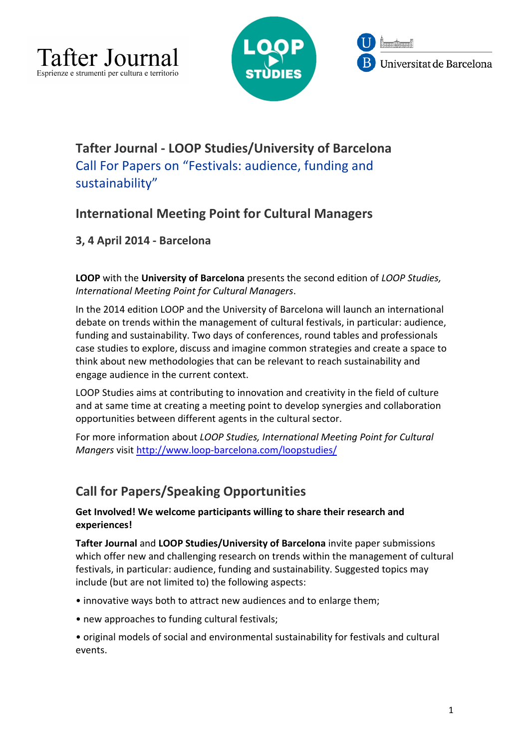





# **Tafter Journal - LOOP Studies/University of Barcelona**  Call For Papers on "Festivals: audience, funding and sustainability"

## **International Meeting Point for Cultural Managers**

**3, 4 April 2014 - Barcelona**

**LOOP** with the **University of Barcelona** presents the second edition of *LOOP Studies, International Meeting Point for Cultural Managers*.

In the 2014 edition LOOP and the University of Barcelona will launch an international debate on trends within the management of cultural festivals, in particular: audience, funding and sustainability. Two days of conferences, round tables and professionals case studies to explore, discuss and imagine common strategies and create a space to think about new methodologies that can be relevant to reach sustainability and engage audience in the current context.

LOOP Studies aims at contributing to innovation and creativity in the field of culture and at same time at creating a meeting point to develop synergies and collaboration opportunities between different agents in the cultural sector.

For more information about *LOOP Studies, International Meeting Point for Cultural Mangers* visit http://www.loop-barcelona.com/loopstudies/

# **Call for Papers/Speaking Opportunities**

**Get Involved! We welcome participants willing to share their research and experiences!** 

**Tafter Journal** and **LOOP Studies/University of Barcelona** invite paper submissions which offer new and challenging research on trends within the management of cultural festivals, in particular: audience, funding and sustainability. Suggested topics may include (but are not limited to) the following aspects:

- innovative ways both to attract new audiences and to enlarge them;
- new approaches to funding cultural festivals;
- original models of social and environmental sustainability for festivals and cultural events.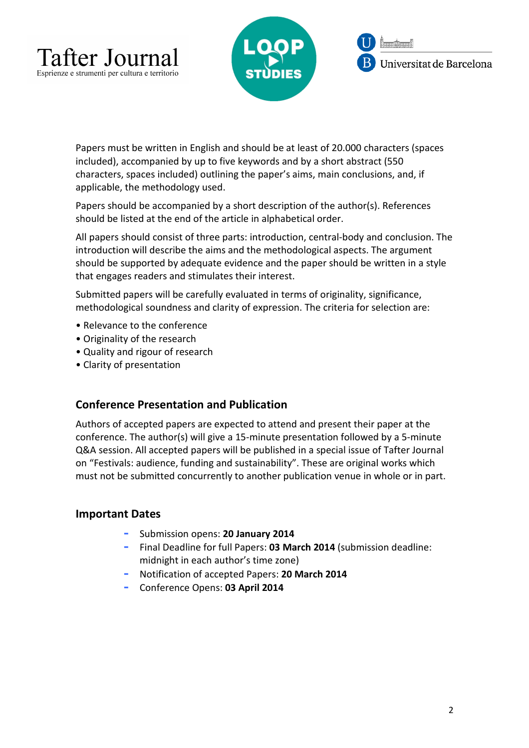



Papers must be written in English and should be at least of 20.000 characters (spaces included), accompanied by up to five keywords and by a short abstract (550 characters, spaces included) outlining the paper's aims, main conclusions, and, if applicable, the methodology used.

Papers should be accompanied by a short description of the author(s). References should be listed at the end of the article in alphabetical order.

All papers should consist of three parts: introduction, central-body and conclusion. The introduction will describe the aims and the methodological aspects. The argument should be supported by adequate evidence and the paper should be written in a style that engages readers and stimulates their interest.

Submitted papers will be carefully evaluated in terms of originality, significance, methodological soundness and clarity of expression. The criteria for selection are:

- Relevance to the conference
- Originality of the research
- Quality and rigour of research
- Clarity of presentation

### **Conference Presentation and Publication**

Authors of accepted papers are expected to attend and present their paper at the conference. The author(s) will give a 15-minute presentation followed by a 5-minute Q&A session. All accepted papers will be published in a special issue of Tafter Journal on "Festivals: audience, funding and sustainability". These are original works which must not be submitted concurrently to another publication venue in whole or in part.

### **Important Dates**

- **-** Submission opens: **20 January 2014**
- **-** Final Deadline for full Papers: **03 March 2014** (submission deadline: midnight in each author's time zone)
- **-** Notification of accepted Papers: **20 March 2014**
- **-** Conference Opens: **03 April 2014**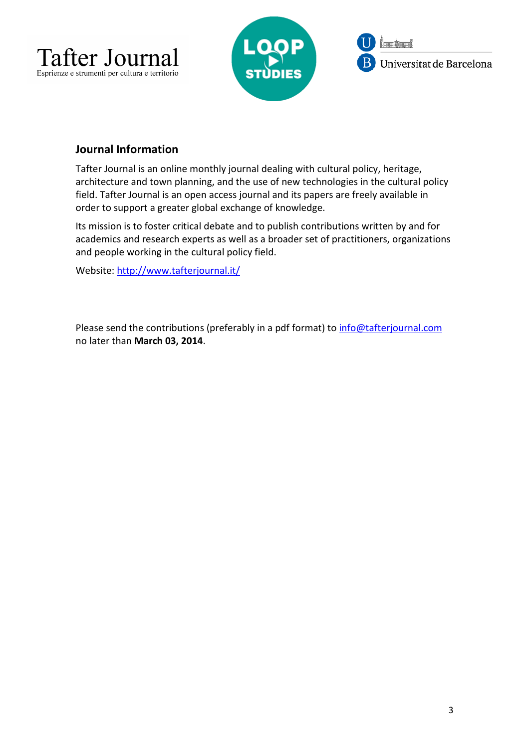





## **Journal Information**

Tafter Journal is an online monthly journal dealing with cultural policy, heritage, architecture and town planning, and the use of new technologies in the cultural policy field. Tafter Journal is an open access journal and its papers are freely available in order to support a greater global exchange of knowledge.

Its mission is to foster critical debate and to publish contributions written by and for academics and research experts as well as a broader set of practitioners, organizations and people working in the cultural policy field.

Website: http://www.tafterjournal.it/

Please send the contributions (preferably in a pdf format) to info@tafterjournal.com no later than **March 03, 2014**.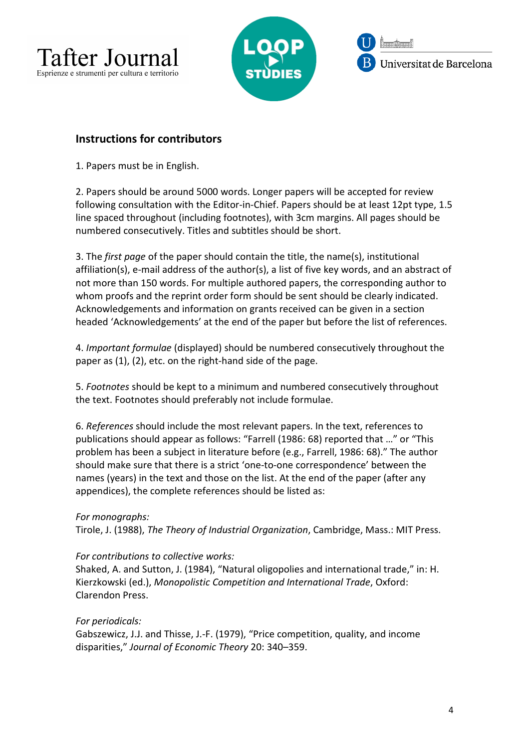



## **Instructions for contributors**

1. Papers must be in English.

2. Papers should be around 5000 words. Longer papers will be accepted for review following consultation with the Editor-in-Chief. Papers should be at least 12pt type, 1.5 line spaced throughout (including footnotes), with 3cm margins. All pages should be numbered consecutively. Titles and subtitles should be short.

3. The *first page* of the paper should contain the title, the name(s), institutional affiliation(s), e-mail address of the author(s), a list of five key words, and an abstract of not more than 150 words. For multiple authored papers, the corresponding author to whom proofs and the reprint order form should be sent should be clearly indicated. Acknowledgements and information on grants received can be given in a section headed 'Acknowledgements' at the end of the paper but before the list of references.

4. *Important formulae* (displayed) should be numbered consecutively throughout the paper as (1), (2), etc. on the right-hand side of the page.

5. *Footnotes* should be kept to a minimum and numbered consecutively throughout the text. Footnotes should preferably not include formulae.

6. *References* should include the most relevant papers. In the text, references to publications should appear as follows: "Farrell (1986: 68) reported that …" or "This problem has been a subject in literature before (e.g., Farrell, 1986: 68)." The author should make sure that there is a strict 'one-to-one correspondence' between the names (years) in the text and those on the list. At the end of the paper (after any appendices), the complete references should be listed as:

### *For monographs:*

Tirole, J. (1988), *The Theory of Industrial Organization*, Cambridge, Mass.: MIT Press.

#### *For contributions to collective works:*

Shaked, A. and Sutton, J. (1984), "Natural oligopolies and international trade," in: H. Kierzkowski (ed.), *Monopolistic Competition and International Trade*, Oxford: Clarendon Press.

#### *For periodicals:*

Gabszewicz, J.J. and Thisse, J.-F. (1979), "Price competition, quality, and income disparities," *Journal of Economic Theory* 20: 340–359.